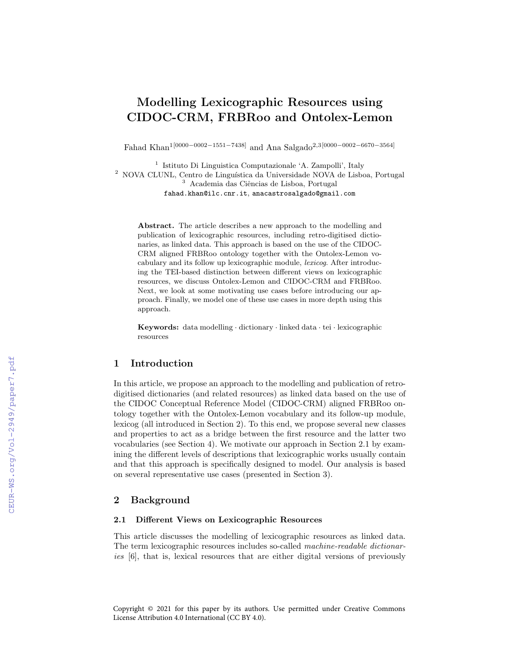# Modelling Lexicographic Resources using CIDOC-CRM, FRBRoo and Ontolex-Lemon

Fahad Khan1[0000−0002−1551−7438] and Ana Salgado<sup>2</sup>,3[0000−0002−6670−3564]

1 Istituto Di Linguistica Computazionale 'A. Zampolli', Italy <sup>2</sup> NOVA CLUNL, Centro de Linguística da Universidade NOVA de Lisboa, Portugal <sup>3</sup> Academia das Ciências de Lisboa, Portugal fahad.khan@ilc.cnr.it, anacastrosalgado@gmail.com

Abstract. The article describes a new approach to the modelling and publication of lexicographic resources, including retro-digitised dictionaries, as linked data. This approach is based on the use of the CIDOC-CRM aligned FRBRoo ontology together with the Ontolex-Lemon vocabulary and its follow up lexicographic module, lexicog. After introducing the TEI-based distinction between different views on lexicographic resources, we discuss Ontolex-Lemon and CIDOC-CRM and FRBRoo. Next, we look at some motivating use cases before introducing our approach. Finally, we model one of these use cases in more depth using this approach.

Keywords: data modelling · dictionary · linked data · tei · lexicographic resources

## 1 Introduction

In this article, we propose an approach to the modelling and publication of retrodigitised dictionaries (and related resources) as linked data based on the use of the CIDOC Conceptual Reference Model (CIDOC-CRM) aligned FRBRoo ontology together with the Ontolex-Lemon vocabulary and its follow-up module, lexicog (all introduced in Section 2). To this end, we propose several new classes and properties to act as a bridge between the first resource and the latter two vocabularies (see Section 4). We motivate our approach in Section 2.1 by examining the different levels of descriptions that lexicographic works usually contain and that this approach is specifically designed to model. Our analysis is based on several representative use cases (presented in Section 3).

# 2 Background

## 2.1 Different Views on Lexicographic Resources

This article discusses the modelling of lexicographic resources as linked data. The term lexicographic resources includes so-called machine-readable dictionaries [6], that is, lexical resources that are either digital versions of previously

Copyright © 2021 for this paper by its authors. Use permitted under Creative Commons License Attribution 4.0 International (CC BY 4.0).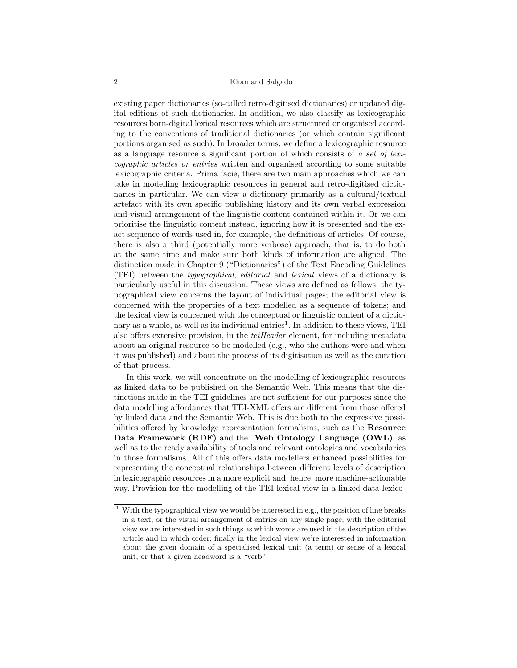#### 2 Khan and Salgado

existing paper dictionaries (so-called retro-digitised dictionaries) or updated digital editions of such dictionaries. In addition, we also classify as lexicographic resources born-digital lexical resources which are structured or organised according to the conventions of traditional dictionaries (or which contain significant portions organised as such). In broader terms, we define a lexicographic resource as a language resource a significant portion of which consists of a set of lexicographic articles or entries written and organised according to some suitable lexicographic criteria. Prima facie, there are two main approaches which we can take in modelling lexicographic resources in general and retro-digitised dictionaries in particular. We can view a dictionary primarily as a cultural/textual artefact with its own specific publishing history and its own verbal expression and visual arrangement of the linguistic content contained within it. Or we can prioritise the linguistic content instead, ignoring how it is presented and the exact sequence of words used in, for example, the definitions of articles. Of course, there is also a third (potentially more verbose) approach, that is, to do both at the same time and make sure both kinds of information are aligned. The distinction made in Chapter 9 ("Dictionaries") of the Text Encoding Guidelines (TEI) between the typographical, editorial and lexical views of a dictionary is particularly useful in this discussion. These views are defined as follows: the typographical view concerns the layout of individual pages; the editorial view is concerned with the properties of a text modelled as a sequence of tokens; and the lexical view is concerned with the conceptual or linguistic content of a dictionary as a whole, as well as its individual entries<sup>1</sup>. In addition to these views, TEI also offers extensive provision, in the  $teiHeader$  element, for including metadata about an original resource to be modelled (e.g., who the authors were and when it was published) and about the process of its digitisation as well as the curation of that process.

In this work, we will concentrate on the modelling of lexicographic resources as linked data to be published on the Semantic Web. This means that the distinctions made in the TEI guidelines are not sufficient for our purposes since the data modelling affordances that TEI-XML offers are different from those offered by linked data and the Semantic Web. This is due both to the expressive possibilities offered by knowledge representation formalisms, such as the Resource Data Framework (RDF) and the Web Ontology Language (OWL), as well as to the ready availability of tools and relevant ontologies and vocabularies in those formalisms. All of this offers data modellers enhanced possibilities for representing the conceptual relationships between different levels of description in lexicographic resources in a more explicit and, hence, more machine-actionable way. Provision for the modelling of the TEI lexical view in a linked data lexico-

<sup>&</sup>lt;sup>1</sup> With the typographical view we would be interested in e.g., the position of line breaks in a text, or the visual arrangement of entries on any single page; with the editorial view we are interested in such things as which words are used in the description of the article and in which order; finally in the lexical view we're interested in information about the given domain of a specialised lexical unit (a term) or sense of a lexical unit, or that a given headword is a "verb".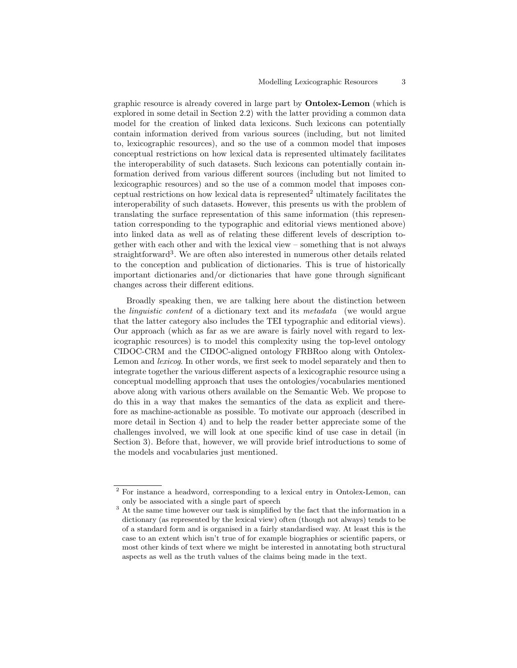graphic resource is already covered in large part by Ontolex-Lemon (which is explored in some detail in Section 2.2) with the latter providing a common data model for the creation of linked data lexicons. Such lexicons can potentially contain information derived from various sources (including, but not limited to, lexicographic resources), and so the use of a common model that imposes conceptual restrictions on how lexical data is represented ultimately facilitates the interoperability of such datasets. Such lexicons can potentially contain information derived from various different sources (including but not limited to lexicographic resources) and so the use of a common model that imposes conceptual restrictions on how lexical data is represented<sup>2</sup> ultimately facilitates the interoperability of such datasets. However, this presents us with the problem of translating the surface representation of this same information (this representation corresponding to the typographic and editorial views mentioned above) into linked data as well as of relating these different levels of description together with each other and with the lexical view – something that is not always straightforward<sup>3</sup>. We are often also interested in numerous other details related to the conception and publication of dictionaries. This is true of historically important dictionaries and/or dictionaries that have gone through significant changes across their different editions.

Broadly speaking then, we are talking here about the distinction between the *linguistic content* of a dictionary text and its metadata (we would argue that the latter category also includes the TEI typographic and editorial views). Our approach (which as far as we are aware is fairly novel with regard to lexicographic resources) is to model this complexity using the top-level ontology CIDOC-CRM and the CIDOC-aligned ontology FRBRoo along with Ontolex-Lemon and lexicog. In other words, we first seek to model separately and then to integrate together the various different aspects of a lexicographic resource using a conceptual modelling approach that uses the ontologies/vocabularies mentioned above along with various others available on the Semantic Web. We propose to do this in a way that makes the semantics of the data as explicit and therefore as machine-actionable as possible. To motivate our approach (described in more detail in Section 4) and to help the reader better appreciate some of the challenges involved, we will look at one specific kind of use case in detail (in Section 3). Before that, however, we will provide brief introductions to some of the models and vocabularies just mentioned.

<sup>2</sup> For instance a headword, corresponding to a lexical entry in Ontolex-Lemon, can only be associated with a single part of speech

<sup>&</sup>lt;sup>3</sup> At the same time however our task is simplified by the fact that the information in a dictionary (as represented by the lexical view) often (though not always) tends to be of a standard form and is organised in a fairly standardised way. At least this is the case to an extent which isn't true of for example biographies or scientific papers, or most other kinds of text where we might be interested in annotating both structural aspects as well as the truth values of the claims being made in the text.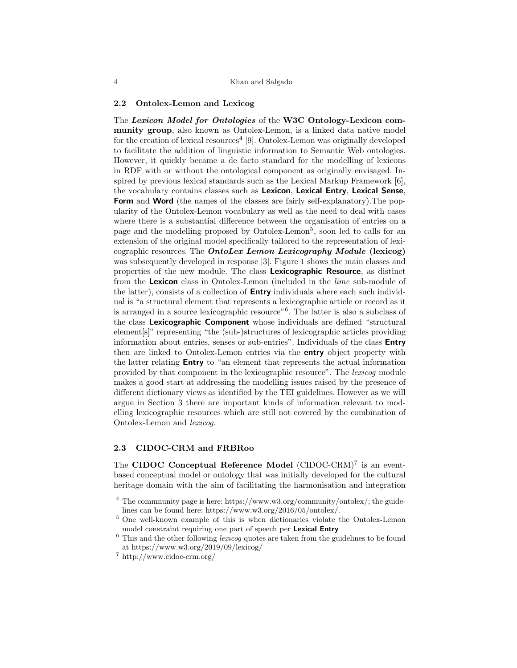#### 2.2 Ontolex-Lemon and Lexicog

The Lexicon Model for Ontologies of the W3C Ontology-Lexicon community group, also known as Ontolex-Lemon, is a linked data native model for the creation of lexical resources<sup>4</sup> [9]. Ontolex-Lemon was originally developed to facilitate the addition of linguistic information to Semantic Web ontologies. However, it quickly became a de facto standard for the modelling of lexicons in RDF with or without the ontological component as originally envisaged. Inspired by previous lexical standards such as the Lexical Markup Framework [6], the vocabulary contains classes such as Lexicon, Lexical Entry, Lexical Sense, Form and Word (the names of the classes are fairly self-explanatory).The popularity of the Ontolex-Lemon vocabulary as well as the need to deal with cases where there is a substantial difference between the organisation of entries on a page and the modelling proposed by Ontolex-Lemon<sup>5</sup>, soon led to calls for an extension of the original model specifically tailored to the representation of lexicographic resources. The *OntoLex Lemon Lexicography Module* (lexicog) was subsequently developed in response [3]. Figure 1 shows the main classes and properties of the new module. The class Lexicographic Resource, as distinct from the Lexicon class in Ontolex-Lemon (included in the *lime* sub-module of the latter), consists of a collection of **Entry** individuals where each such individual is "a structural element that represents a lexicographic article or record as it is arranged in a source lexicographic resource"<sup>6</sup> . The latter is also a subclass of the class Lexicographic Component whose individuals are defined "structural element[s]" representing "the (sub-)structures of lexicographic articles providing information about entries, senses or sub-entries". Individuals of the class Entry then are linked to Ontolex-Lemon entries via the **entry** object property with the latter relating Entry to "an element that represents the actual information provided by that component in the lexicographic resource". The lexicog module makes a good start at addressing the modelling issues raised by the presence of different dictionary views as identified by the TEI guidelines. However as we will argue in Section 3 there are important kinds of information relevant to modelling lexicographic resources which are still not covered by the combination of Ontolex-Lemon and lexicog.

## 2.3 CIDOC-CRM and FRBRoo

The CIDOC Conceptual Reference Model (CIDOC-CRM)<sup>7</sup> is an eventbased conceptual model or ontology that was initially developed for the cultural heritage domain with the aim of facilitating the harmonisation and integration

<sup>&</sup>lt;sup>4</sup> The commnunity page is here: https://www.w3.org/community/ontolex/; the guidelines can be found here: https://www.w3.org/2016/05/ontolex/.

<sup>5</sup> One well-known example of this is when dictionaries violate the Ontolex-Lemon model constraint requiring one part of speech per Lexical Entry

 $6$  This and the other following *lexicog* quotes are taken from the guidelines to be found at https://www.w3.org/2019/09/lexicog/

<sup>7</sup> http://www.cidoc-crm.org/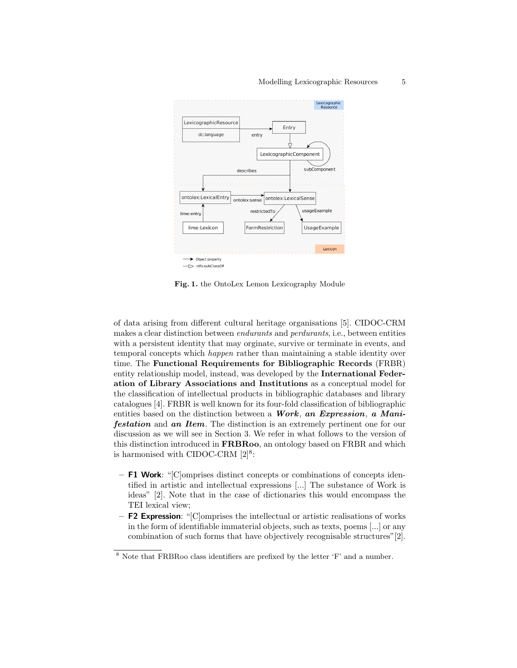

Fig. 1. the OntoLex Lemon Lexicography Module

of data arising from different cultural heritage organisations [5]. CIDOC-CRM makes a clear distinction between endurants and perdurants, i.e., between entities with a persistent identity that may orginate, survive or terminate in events, and temporal concepts which happen rather than maintaining a stable identity over time. The Functional Requirements for Bibliographic Records (FRBR) entity relationship model, instead, was developed by the International Federation of Library Associations and Institutions as a conceptual model for the classification of intellectual products in bibliographic databases and library catalogues [4]. FRBR is well known for its four-fold classification of bibliographic entities based on the distinction between a **Work**, an Expression, a Mani**festation** and an Item. The distinction is an extremely pertinent one for our discussion as we will see in Section 3. We refer in what follows to the version of this distinction introduced in FRBRoo, an ontology based on FRBR and which is harmonised with CIDOC-CRM  $[2]^8$ :

- F1 Work: "[C]omprises distinct concepts or combinations of concepts identified in artistic and intellectual expressions [...] The substance of Work is ideas" [2]. Note that in the case of dictionaries this would encompass the TEI lexical view;
- $-$  F2 Expression: "[C]omprises the intellectual or artistic realisations of works in the form of identifiable immaterial objects, such as texts, poems [...] or any combination of such forms that have objectively recognisable structures"[2].

<sup>8</sup> Note that FRBRoo class identifiers are prefixed by the letter 'F' and a number.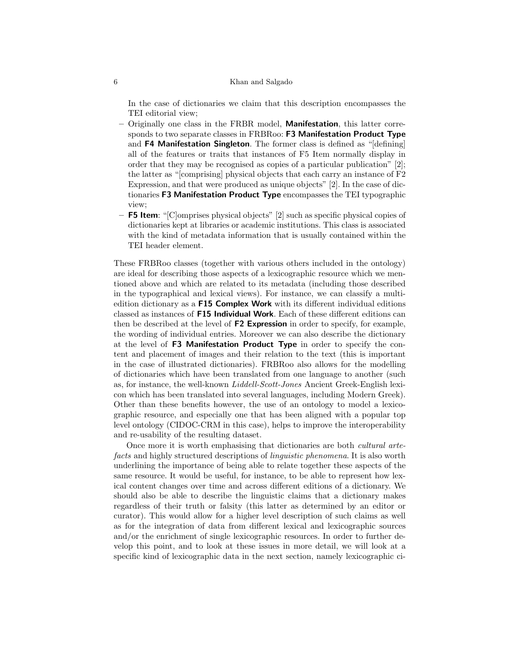In the case of dictionaries we claim that this description encompasses the TEI editorial view;

- Originally one class in the FRBR model, Manifestation, this latter corresponds to two separate classes in FRBRoo: F3 Manifestation Product Type and F4 Manifestation Singleton. The former class is defined as "[defining] all of the features or traits that instances of F5 Item normally display in order that they may be recognised as copies of a particular publication" [2]; the latter as "[comprising] physical objects that each carry an instance of F2 Expression, and that were produced as unique objects" [2]. In the case of dictionaries F3 Manifestation Product Type encompasses the TEI typographic view;
- F5 Item: "[C]omprises physical objects" [2] such as specific physical copies of dictionaries kept at libraries or academic institutions. This class is associated with the kind of metadata information that is usually contained within the TEI header element.

These FRBRoo classes (together with various others included in the ontology) are ideal for describing those aspects of a lexicographic resource which we mentioned above and which are related to its metadata (including those described in the typographical and lexical views). For instance, we can classify a multiedition dictionary as a **F15 Complex Work** with its different individual editions classed as instances of F15 Individual Work. Each of these different editions can then be described at the level of F2 Expression in order to specify, for example, the wording of individual entries. Moreover we can also describe the dictionary at the level of F3 Manifestation Product Type in order to specify the content and placement of images and their relation to the text (this is important in the case of illustrated dictionaries). FRBRoo also allows for the modelling of dictionaries which have been translated from one language to another (such as, for instance, the well-known Liddell-Scott-Jones Ancient Greek-English lexicon which has been translated into several languages, including Modern Greek). Other than these benefits however, the use of an ontology to model a lexicographic resource, and especially one that has been aligned with a popular top level ontology (CIDOC-CRM in this case), helps to improve the interoperability and re-usability of the resulting dataset.

Once more it is worth emphasising that dictionaries are both cultural artefacts and highly structured descriptions of *linguistic phenomena*. It is also worth underlining the importance of being able to relate together these aspects of the same resource. It would be useful, for instance, to be able to represent how lexical content changes over time and across different editions of a dictionary. We should also be able to describe the linguistic claims that a dictionary makes regardless of their truth or falsity (this latter as determined by an editor or curator). This would allow for a higher level description of such claims as well as for the integration of data from different lexical and lexicographic sources and/or the enrichment of single lexicographic resources. In order to further develop this point, and to look at these issues in more detail, we will look at a specific kind of lexicographic data in the next section, namely lexicographic ci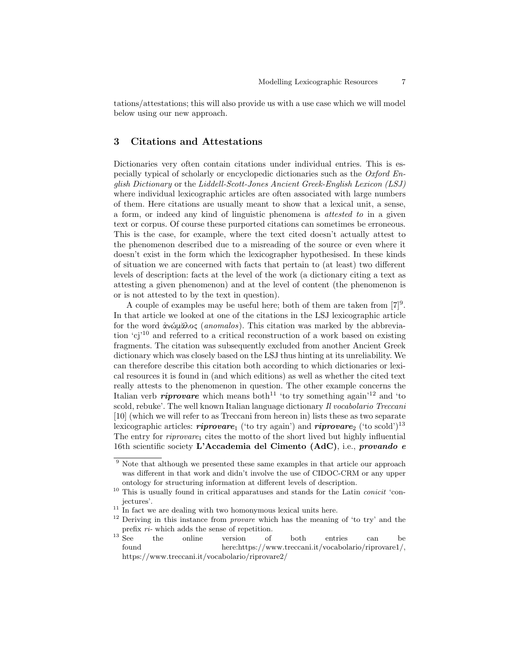tations/attestations; this will also provide us with a use case which we will model below using our new approach.

# 3 Citations and Attestations

Dictionaries very often contain citations under individual entries. This is especially typical of scholarly or encyclopedic dictionaries such as the Oxford English Dictionary or the Liddell-Scott-Jones Ancient Greek-English Lexicon (LSJ) where individual lexicographic articles are often associated with large numbers of them. Here citations are usually meant to show that a lexical unit, a sense, a form, or indeed any kind of linguistic phenomena is attested to in a given text or corpus. Of course these purported citations can sometimes be erroneous. This is the case, for example, where the text cited doesn't actually attest to the phenomenon described due to a misreading of the source or even where it doesn't exist in the form which the lexicographer hypothesised. In these kinds of situation we are concerned with facts that pertain to (at least) two different levels of description: facts at the level of the work (a dictionary citing a text as attesting a given phenomenon) and at the level of content (the phenomenon is or is not attested to by the text in question).

A couple of examples may be useful here; both of them are taken from  $[7]^9$ . In that article we looked at one of the citations in the LSJ lexicographic article for the word ἀνώμᾶλος (anomalos). This citation was marked by the abbreviation 'cj'<sup>10</sup> and referred to a critical reconstruction of a work based on existing fragments. The citation was subsequently excluded from another Ancient Greek dictionary which was closely based on the LSJ thus hinting at its unreliability. We can therefore describe this citation both according to which dictionaries or lexical resources it is found in (and which editions) as well as whether the cited text really attests to the phenomenon in question. The other example concerns the Italian verb *riprovare* which means both<sup>11</sup> 'to try something again<sup>'12</sup> and 'to scold, rebuke'. The well known Italian language dictionary Il vocabolario Treccani [10] (which we will refer to as Treccani from hereon in) lists these as two separate lexicographic articles: **riprovare**<sub>1</sub> ('to try again') and **riprovare**<sub>2</sub> ('to scold')<sup>13</sup> The entry for  $riprovare<sub>1</sub>$  cites the motto of the short lived but highly influential 16th scientific society L'Accademia del Cimento (AdC), i.e., provando e

 $9$  Note that although we presented these same examples in that article our approach was different in that work and didn't involve the use of CIDOC-CRM or any upper ontology for structuring information at different levels of description.

 $10$  This is usually found in critical apparatuses and stands for the Latin *conicit* 'conjectures'.

 $11$  In fact we are dealing with two homonymous lexical units here.

 $12$  Deriving in this instance from *provare* which has the meaning of 'to try' and the prefix  $ri$ - which adds the sense of repetition.<br><sup>13</sup> See the online version of

<sup>&</sup>lt;sup>13</sup> See the online version of both entries can be found here:https://www.treccani.it/vocabolario/riprovare1/, https://www.treccani.it/vocabolario/riprovare2/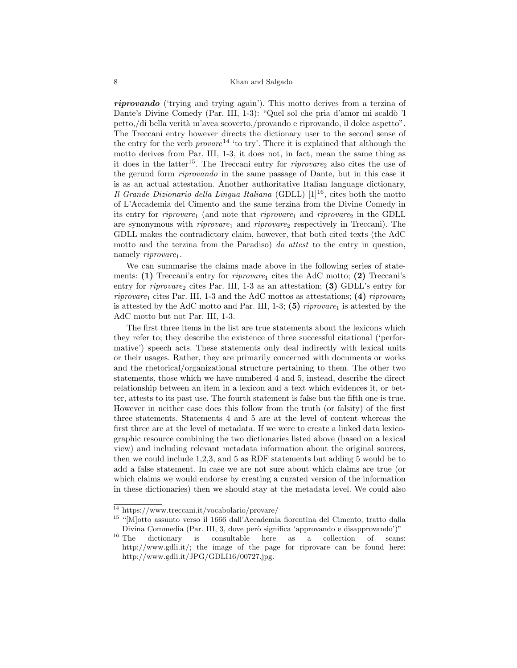riprovando ('trying and trying again'). This motto derives from a terzina of Dante's Divine Comedy (Par. III, 1-3): "Quel sol che pria d'amor mi scaldò 'l petto,/di bella verit`a m'avea scoverto,/provando e riprovando, il dolce aspetto". The Treccani entry however directs the dictionary user to the second sense of the entry for the verb  $\nu r \nu$ <sup>14</sup> 'to try'. There it is explained that although the motto derives from Par. III, 1-3, it does not, in fact, mean the same thing as it does in the latter<sup>15</sup>. The Treccani entry for *riprovare*<sub>2</sub> also cites the use of the gerund form riprovando in the same passage of Dante, but in this case it is as an actual attestation. Another authoritative Italian language dictionary, Il Grande Dizionario della Lingua Italiana (GDLL)  $[1]^{16}$ , cites both the motto of L'Accademia del Cimento and the same terzina from the Divine Comedy in its entry for *riprovare*<sub>1</sub> (and note that *riprovare*<sub>1</sub> and *riprovare*<sub>2</sub> in the GDLL are synonymous with  $riprouare<sub>1</sub>$  and  $riprouare<sub>2</sub>$  respectively in Treccani). The GDLL makes the contradictory claim, however, that both cited texts (the AdC motto and the terzina from the Paradiso) do attest to the entry in question, namely riprovare<sub>1</sub>.

We can summarise the claims made above in the following series of statements:  $(1)$  Treccani's entry for *riprovare*<sub>1</sub> cites the AdC motto;  $(2)$  Treccani's entry for *riprovare*<sub>2</sub> cites Par. III, 1-3 as an attestation; (3) GDLL's entry for riprovare<sub>1</sub> cites Par. III, 1-3 and the AdC mottos as attestations; (4) riprovare<sub>2</sub> is attested by the AdC motto and Par. III, 1-3; (5)  $riprovare<sub>1</sub>$  is attested by the AdC motto but not Par. III, 1-3.

The first three items in the list are true statements about the lexicons which they refer to; they describe the existence of three successful citational ('performative') speech acts. These statements only deal indirectly with lexical units or their usages. Rather, they are primarily concerned with documents or works and the rhetorical/organizational structure pertaining to them. The other two statements, those which we have numbered 4 and 5, instead, describe the direct relationship between an item in a lexicon and a text which evidences it, or better, attests to its past use. The fourth statement is false but the fifth one is true. However in neither case does this follow from the truth (or falsity) of the first three statements. Statements 4 and 5 are at the level of content whereas the first three are at the level of metadata. If we were to create a linked data lexicographic resource combining the two dictionaries listed above (based on a lexical view) and including relevant metadata information about the original sources, then we could include 1,2,3, and 5 as RDF statements but adding 5 would be to add a false statement. In case we are not sure about which claims are true (or which claims we would endorse by creating a curated version of the information in these dictionaries) then we should stay at the metadata level. We could also

<sup>14</sup> https://www.treccani.it/vocabolario/provare/

<sup>15</sup> "[M]otto assunto verso il 1666 dall'Accademia fiorentina del Cimento, tratto dalla Divina Commedia (Par. III, 3, dove però significa 'approvando e disapprovando')"<br><sup>16</sup> The dictionary is consultable here as a collection of scans

dictionary is consultable here as a collection of scans: http://www.gdli.it/; the image of the page for riprovare can be found here: http://www.gdli.it/JPG/GDLI16/00727.jpg.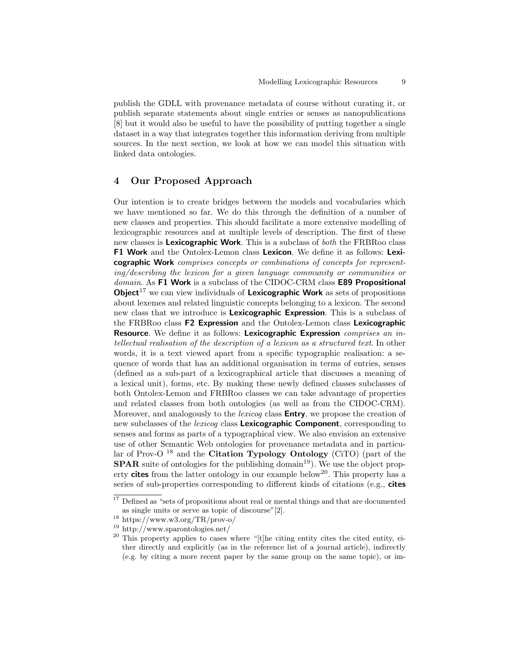publish the GDLL with provenance metadata of course without curating it, or publish separate statements about single entries or senses as nanopublications [8] but it would also be useful to have the possibility of putting together a single dataset in a way that integrates together this information deriving from multiple sources. In the next section, we look at how we can model this situation with linked data ontologies.

# 4 Our Proposed Approach

Our intention is to create bridges between the models and vocabularies which we have mentioned so far. We do this through the definition of a number of new classes and properties. This should facilitate a more extensive modelling of lexicographic resources and at multiple levels of description. The first of these new classes is **Lexicographic Work**. This is a subclass of *both* the FRBRoo class F1 Work and the Ontolex-Lemon class Lexicon. We define it as follows: Lexicographic Work comprises concepts or combinations of concepts for representing/describing the lexicon for a given language community or communities or domain. As F1 Work is a subclass of the CIDOC-CRM class **E89 Propositional Object**<sup>17</sup> we can view individuals of Lexicographic Work as sets of propositions about lexemes and related linguistic concepts belonging to a lexicon. The second new class that we introduce is **Lexicographic Expression**. This is a subclass of the FRBRoo class F2 Expression and the Ontolex-Lemon class Lexicographic Resource. We define it as follows: Lexicographic Expression comprises an intellectual realisation of the description of a lexicon as a structured text. In other words, it is a text viewed apart from a specific typographic realisation: a sequence of words that has an additional organisation in terms of entries, senses (defined as a sub-part of a lexicographical article that discusses a meaning of a lexical unit), forms, etc. By making these newly defined classes subclasses of both Ontolex-Lemon and FRBRoo classes we can take advantage of properties and related classes from both ontologies (as well as from the CIDOC-CRM). Moreover, and analogously to the *lexicog* class **Entry**, we propose the creation of new subclasses of the *lexicog* class **Lexicographic Component**, corresponding to senses and forms as parts of a typographical view. We also envision an extensive use of other Semantic Web ontologies for provenance metadata and in particular of Prov-O<sup>18</sup> and the **Citation Typology Ontology** (CiTO) (part of the **SPAR** suite of ontologies for the publishing domain<sup>19</sup>). We use the object property cites from the latter ontology in our example below<sup>20</sup>. This property has a series of sub-properties corresponding to different kinds of citations (e.g., cites

<sup>&</sup>lt;sup>17</sup> Defined as "sets of propositions about real or mental things and that are documented as single units or serve as topic of discourse"[2].

<sup>18</sup> https://www.w3.org/TR/prov-o/

<sup>19</sup> http://www.sparontologies.net/

 $20$  This property applies to cases where "[t]he citing entity cites the cited entity, either directly and explicitly (as in the reference list of a journal article), indirectly (e.g. by citing a more recent paper by the same group on the same topic), or im-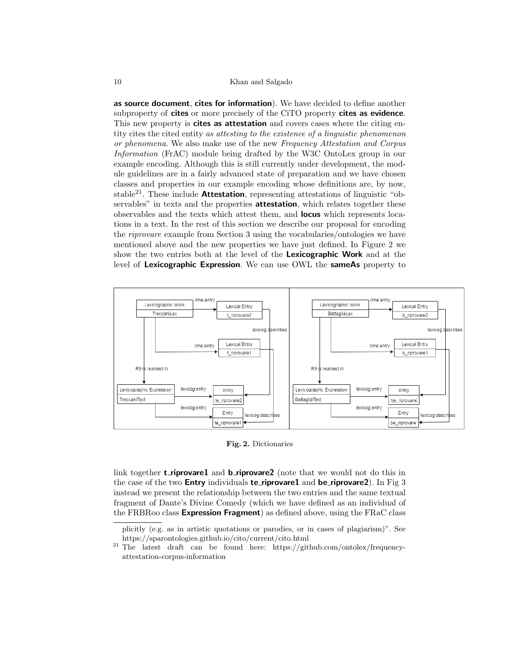#### 10 Khan and Salgado

as source document, cites for information). We have decided to define another subproperty of cites or more precisely of the CiTO property cites as evidence. This new property is **cites as attestation** and covers cases where the citing entity cites the cited entity as attesting to the existence of a linguistic phenomenon or phenomena. We also make use of the new Frequency Attestation and Corpus Information (FrAC) module being drafted by the W3C OntoLex group in our example encoding. Although this is still currently under development, the module guidelines are in a fairly advanced state of preparation and we have chosen classes and properties in our example encoding whose definitions are, by now, stable<sup>21</sup>. These include **Attestation**, representing attestations of linguistic "observables" in texts and the properties **attestation**, which relates together these observables and the texts which attest them, and locus which represents locations in a text. In the rest of this section we describe our proposal for encoding the riprovare example from Section 3 using the vocabularies/ontologies we have mentioned above and the new properties we have just defined. In Figure 2 we show the two entries both at the level of the Lexicographic Work and at the level of Lexicographic Expression. We can use OWL the sameAs property to



Fig. 2. Dictionaries

link together **t\_riprovare1** and **b\_riprovare2** (note that we would not do this in the case of the two **Entry** individuals **te\_riprovare1** and **be\_riprovare2**). In Fig 3 instead we present the relationship between the two entries and the same textual fragment of Dante's Divine Comedy (which we have defined as an individual of the FRBRoo class **Expression Fragment**) as defined above, using the FRaC class

plicitly (e.g. as in artistic quotations or parodies, or in cases of plagiarism)". See https://sparontologies.github.io/cito/current/cito.html

<sup>&</sup>lt;sup>21</sup> The latest draft can be found here: https://github.com/ontolex/frequencyattestation-corpus-information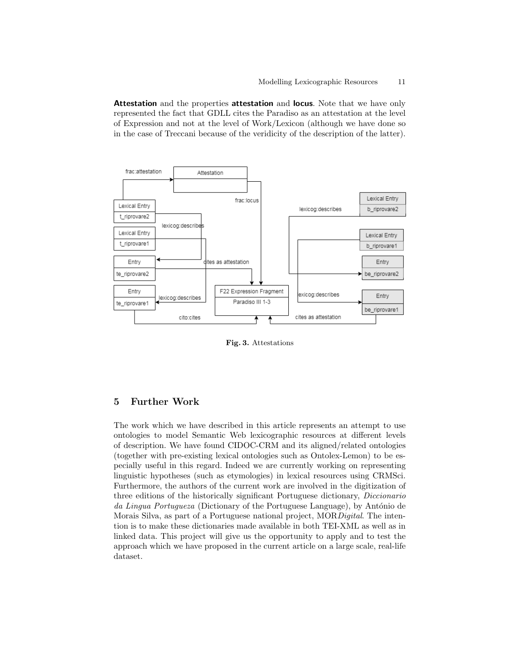Attestation and the properties attestation and locus. Note that we have only represented the fact that GDLL cites the Paradiso as an attestation at the level of Expression and not at the level of Work/Lexicon (although we have done so in the case of Treccani because of the veridicity of the description of the latter).



Fig. 3. Attestations

## 5 Further Work

The work which we have described in this article represents an attempt to use ontologies to model Semantic Web lexicographic resources at different levels of description. We have found CIDOC-CRM and its aligned/related ontologies (together with pre-existing lexical ontologies such as Ontolex-Lemon) to be especially useful in this regard. Indeed we are currently working on representing linguistic hypotheses (such as etymologies) in lexical resources using CRMSci. Furthermore, the authors of the current work are involved in the digitization of three editions of the historically significant Portuguese dictionary, Diccionario da Lingua Portugueza (Dictionary of the Portuguese Language), by António de Morais Silva, as part of a Portuguese national project, MORDigital. The intention is to make these dictionaries made available in both TEI-XML as well as in linked data. This project will give us the opportunity to apply and to test the approach which we have proposed in the current article on a large scale, real-life dataset.